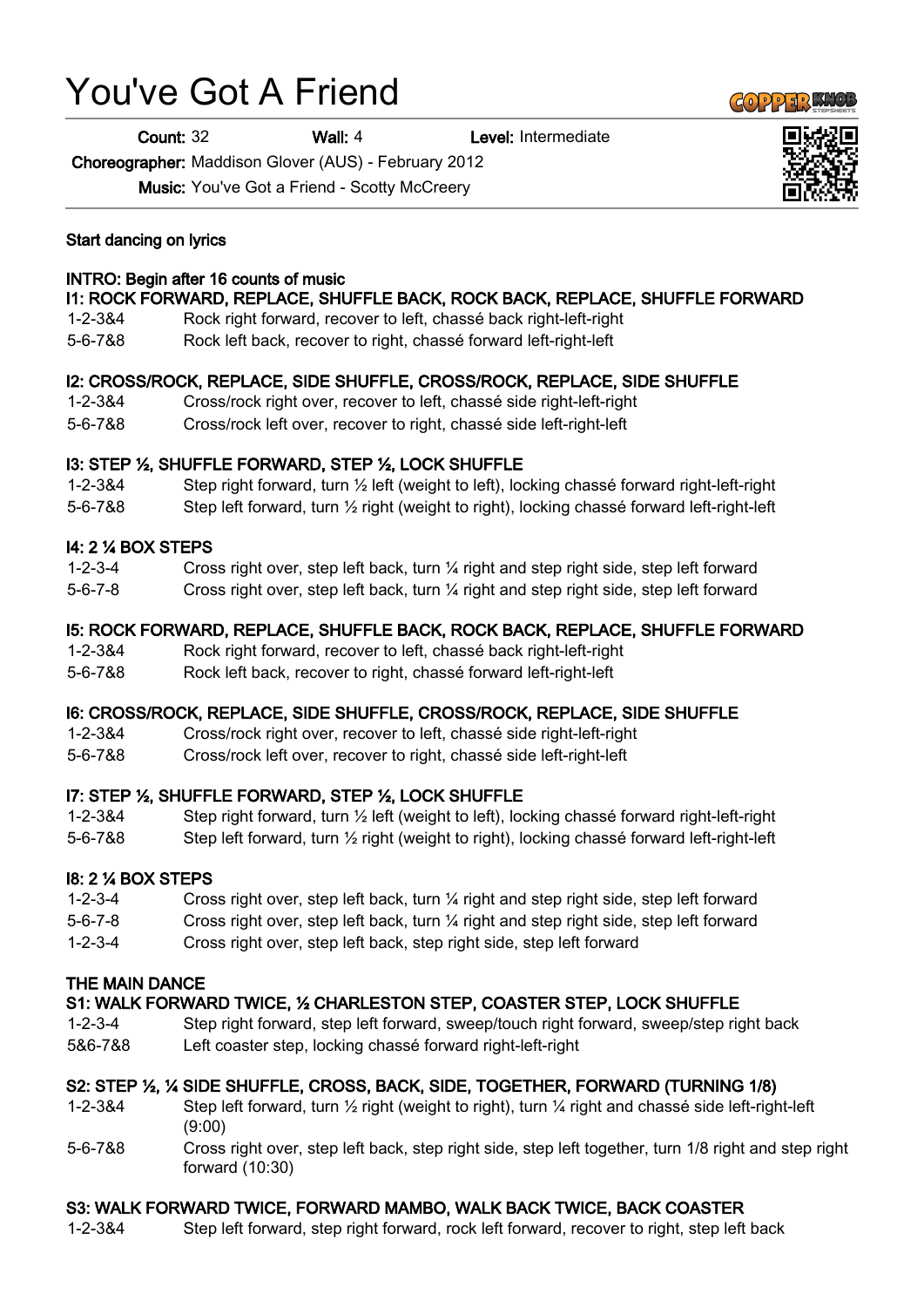# You've Got A Friend

Count: 32 Wall: 4 Level: Intermediate

Choreographer: Maddison Glover (AUS) - February 2012

Music: You've Got a Friend - Scotty McCreery

#### Start dancing on lyrics

#### INTRO: Begin after 16 counts of music

### I1: ROCK FORWARD, REPLACE, SHUFFLE BACK, ROCK BACK, REPLACE, SHUFFLE FORWARD

- 1-2-3&4 Rock right forward, recover to left, chassé back right-left-right
- 5-6-7&8 Rock left back, recover to right, chassé forward left-right-left

#### I2: CROSS/ROCK, REPLACE, SIDE SHUFFLE, CROSS/ROCK, REPLACE, SIDE SHUFFLE

1-2-3&4 Cross/rock right over, recover to left, chassé side right-left-right 5-6-7&8 Cross/rock left over, recover to right, chassé side left-right-left

#### I3: STEP ½, SHUFFLE FORWARD, STEP ½, LOCK SHUFFLE

1-2-3&4 Step right forward, turn ½ left (weight to left), locking chassé forward right-left-right

5-6-7&8 Step left forward, turn ½ right (weight to right), locking chassé forward left-right-left

#### I4: 2 ¼ BOX STEPS

- 1-2-3-4 Cross right over, step left back, turn ¼ right and step right side, step left forward
- 5-6-7-8 Cross right over, step left back, turn ¼ right and step right side, step left forward

#### I5: ROCK FORWARD, REPLACE, SHUFFLE BACK, ROCK BACK, REPLACE, SHUFFLE FORWARD

- 1-2-3&4 Rock right forward, recover to left, chassé back right-left-right
- 5-6-7&8 Rock left back, recover to right, chassé forward left-right-left

#### I6: CROSS/ROCK, REPLACE, SIDE SHUFFLE, CROSS/ROCK, REPLACE, SIDE SHUFFLE

- 1-2-3&4 Cross/rock right over, recover to left, chassé side right-left-right
- 5-6-7&8 Cross/rock left over, recover to right, chassé side left-right-left

#### I7: STEP ½, SHUFFLE FORWARD, STEP ½, LOCK SHUFFLE

- 1-2-3&4 Step right forward, turn ½ left (weight to left), locking chassé forward right-left-right
- 5-6-7&8 Step left forward, turn ½ right (weight to right), locking chassé forward left-right-left

#### I8: 2 ¼ BOX STEPS

- 1-2-3-4 Cross right over, step left back, turn ¼ right and step right side, step left forward
- 5-6-7-8 Cross right over, step left back, turn ¼ right and step right side, step left forward
- 1-2-3-4 Cross right over, step left back, step right side, step left forward

#### THE MAIN DANCE

# S1: WALK FORWARD TWICE, ½ CHARLESTON STEP, COASTER STEP, LOCK SHUFFLE

1-2-3-4 Step right forward, step left forward, sweep/touch right forward, sweep/step right back 5&6-7&8 Left coaster step, locking chassé forward right-left-right

# S2: STEP ½, ¼ SIDE SHUFFLE, CROSS, BACK, SIDE, TOGETHER, FORWARD (TURNING 1/8)

- 1-2-3&4 Step left forward, turn  $\frac{1}{2}$  right (weight to right), turn  $\frac{1}{4}$  right and chassé side left-right-left (9:00)
- 5-6-7&8 Cross right over, step left back, step right side, step left together, turn 1/8 right and step right forward (10:30)

# S3: WALK FORWARD TWICE, FORWARD MAMBO, WALK BACK TWICE, BACK COASTER

1-2-3&4 Step left forward, step right forward, rock left forward, recover to right, step left back